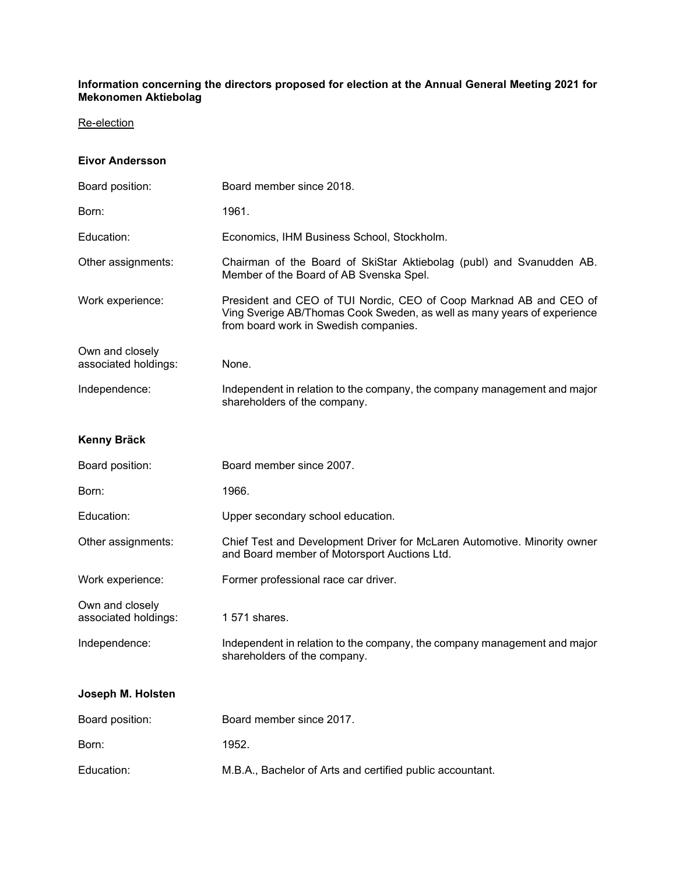#### **Information concerning the directors proposed for election at the Annual General Meeting 2021 for Mekonomen Aktiebolag**

### Re-election

### **Eivor Andersson**

| Board position:                         | Board member since 2018.                                                                                                                                                               |
|-----------------------------------------|----------------------------------------------------------------------------------------------------------------------------------------------------------------------------------------|
| Born:                                   | 1961.                                                                                                                                                                                  |
| Education:                              | Economics, IHM Business School, Stockholm.                                                                                                                                             |
| Other assignments:                      | Chairman of the Board of SkiStar Aktiebolag (publ) and Svanudden AB.<br>Member of the Board of AB Svenska Spel.                                                                        |
| Work experience:                        | President and CEO of TUI Nordic, CEO of Coop Marknad AB and CEO of<br>Ving Sverige AB/Thomas Cook Sweden, as well as many years of experience<br>from board work in Swedish companies. |
| Own and closely<br>associated holdings: | None.                                                                                                                                                                                  |
| Independence:                           | Independent in relation to the company, the company management and major<br>shareholders of the company.                                                                               |
| Kenny Bräck                             |                                                                                                                                                                                        |
| Board position:                         | Board member since 2007.                                                                                                                                                               |
| Born:                                   | 1966.                                                                                                                                                                                  |
| Education:                              | Upper secondary school education.                                                                                                                                                      |
| Other assignments:                      | Chief Test and Development Driver for McLaren Automotive. Minority owner<br>and Board member of Motorsport Auctions Ltd.                                                               |
| Work experience:                        | Former professional race car driver.                                                                                                                                                   |
| Own and closely<br>associated holdings: | 1 571 shares.                                                                                                                                                                          |
| Independence:                           | Independent in relation to the company, the company management and major<br>shareholders of the company.                                                                               |
| Joseph M. Holsten                       |                                                                                                                                                                                        |
| Board position:                         | Board member since 2017.                                                                                                                                                               |
| Born:                                   | 1952.                                                                                                                                                                                  |
| Education:                              | M.B.A., Bachelor of Arts and certified public accountant.                                                                                                                              |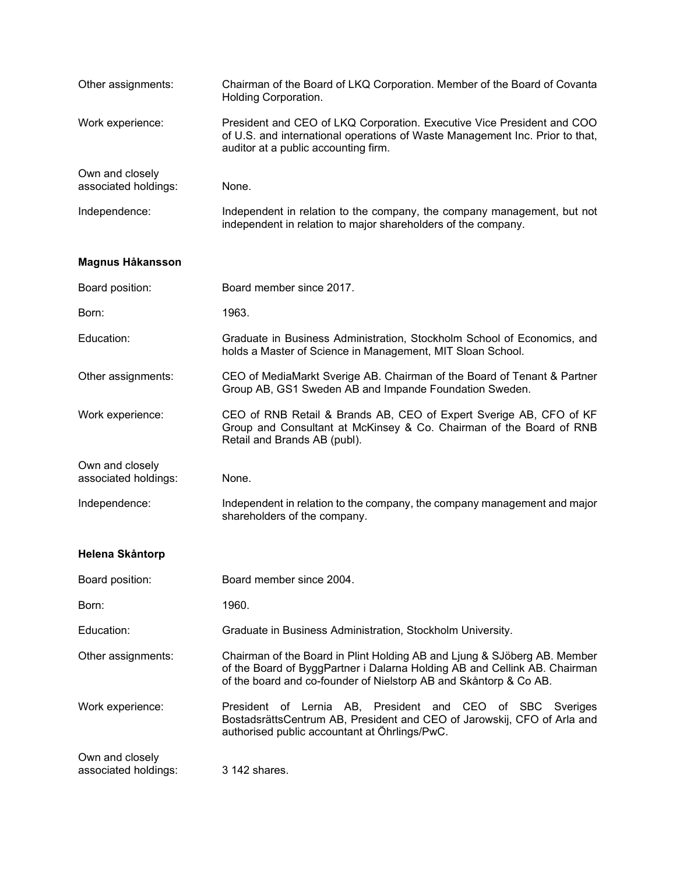| Other assignments:                      | Chairman of the Board of LKQ Corporation. Member of the Board of Covanta<br>Holding Corporation.                                                                                                                           |
|-----------------------------------------|----------------------------------------------------------------------------------------------------------------------------------------------------------------------------------------------------------------------------|
| Work experience:                        | President and CEO of LKQ Corporation. Executive Vice President and COO<br>of U.S. and international operations of Waste Management Inc. Prior to that,<br>auditor at a public accounting firm.                             |
| Own and closely<br>associated holdings: | None.                                                                                                                                                                                                                      |
| Independence:                           | Independent in relation to the company, the company management, but not<br>independent in relation to major shareholders of the company.                                                                                   |
| Magnus Håkansson                        |                                                                                                                                                                                                                            |
| Board position:                         | Board member since 2017.                                                                                                                                                                                                   |
| Born:                                   | 1963.                                                                                                                                                                                                                      |
| Education:                              | Graduate in Business Administration, Stockholm School of Economics, and<br>holds a Master of Science in Management, MIT Sloan School.                                                                                      |
| Other assignments:                      | CEO of MediaMarkt Sverige AB. Chairman of the Board of Tenant & Partner<br>Group AB, GS1 Sweden AB and Impande Foundation Sweden.                                                                                          |
| Work experience:                        | CEO of RNB Retail & Brands AB, CEO of Expert Sverige AB, CFO of KF<br>Group and Consultant at McKinsey & Co. Chairman of the Board of RNB<br>Retail and Brands AB (publ).                                                  |
| Own and closely<br>associated holdings: | None.                                                                                                                                                                                                                      |
| Independence:                           | Independent in relation to the company, the company management and major<br>shareholders of the company.                                                                                                                   |
| Helena Skåntorp                         |                                                                                                                                                                                                                            |
| Board position:                         | Board member since 2004.                                                                                                                                                                                                   |
| Born:                                   | 1960.                                                                                                                                                                                                                      |
| Education:                              | Graduate in Business Administration, Stockholm University.                                                                                                                                                                 |
| Other assignments:                      | Chairman of the Board in Plint Holding AB and Ljung & SJöberg AB. Member<br>of the Board of ByggPartner i Dalarna Holding AB and Cellink AB. Chairman<br>of the board and co-founder of Nielstorp AB and Skåntorp & Co AB. |
| Work experience:                        | President of Lernia AB, President and CEO of SBC Sveriges<br>BostadsrättsCentrum AB, President and CEO of Jarowskij, CFO of Arla and<br>authorised public accountant at Öhrlings/PwC.                                      |
| Own and closely<br>associated holdings: | 3 142 shares.                                                                                                                                                                                                              |